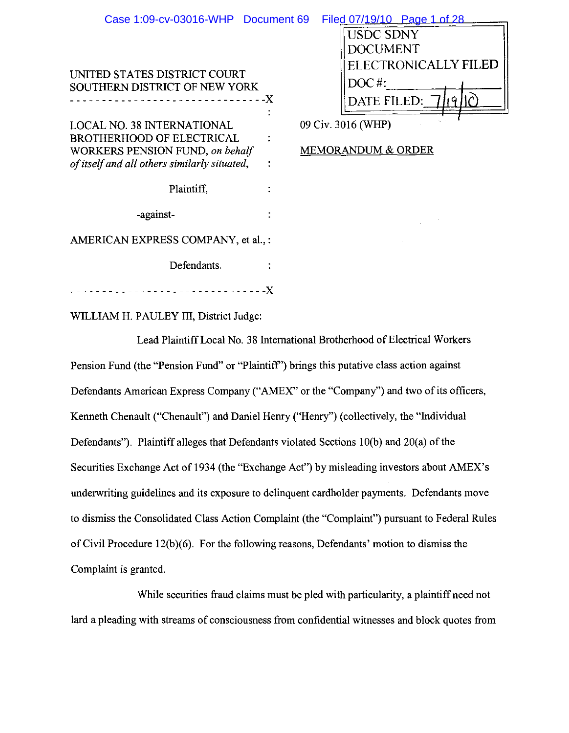| Case 1:09-cv-03016-WHP Document 69                                                                                                                       |      |                               | Filed 07/19/10 Page 1 of 28 |
|----------------------------------------------------------------------------------------------------------------------------------------------------------|------|-------------------------------|-----------------------------|
|                                                                                                                                                          |      |                               | USDC SDNY                   |
|                                                                                                                                                          |      |                               | DOCUMENT                    |
|                                                                                                                                                          |      |                               | ELECTRONICALLY FILED        |
| UNITED STATES DISTRICT COURT<br><b>SOUTHERN DISTRICT OF NEW YORK</b>                                                                                     |      |                               | $DOC$ #:                    |
| ---------------------- <i>--</i> -X                                                                                                                      |      |                               | DATE FILED: 7/19            |
| <b>LOCAL NO. 38 INTERNATIONAL</b><br><b>BROTHERHOOD OF ELECTRICAL</b><br>WORKERS PENSION FUND, on behalf<br>of itself and all others similarly situated, |      |                               | 09 Civ. 3016 (WHP)          |
|                                                                                                                                                          |      | <b>MEMORANDUM &amp; ORDER</b> |                             |
|                                                                                                                                                          |      |                               |                             |
| Plaintiff,                                                                                                                                               |      |                               |                             |
| -against-                                                                                                                                                |      |                               |                             |
| AMERICAN EXPRESS COMPANY, et al., :                                                                                                                      |      |                               |                             |
| Defendants.                                                                                                                                              |      |                               |                             |
|                                                                                                                                                          | $-X$ |                               |                             |

WILLIAM H. PAULEY III, District Judge:

Lead Plaintiff Local No. 38 International Brotherhood of Electrical Workers Pension Fund (the "Pension Fund" or "Plaintiff") brings this putative class action against Defendants American Express Company ("AMEX" or the "Company") and two of its officers, Kenneth Chenault ("Chenault") and Daniel Henry ("Henry") (collectively, the "Individual Defendants"). Plaintiff alleges that Defendants violated Sections 10(b) and 20(a) of the Securities Exchange Act of 1934 (the "Exchange Act") by misleading investors about AMEX's underwriting guidelines and its exposure to delinquent cardholder payments. Defendants move to dismiss the Consolidated Class Action Complaint (the "Complaint") pursuant to Federal Rules of Civil Procedure 12(b)(6). For the following reasons, Defendants' motion to dismiss the Complaint is granted.

While securities fraud claims must be pled with particularity, a plaintiff need not lard a pleading with streams of consciousness from confidential witnesses and block quotes from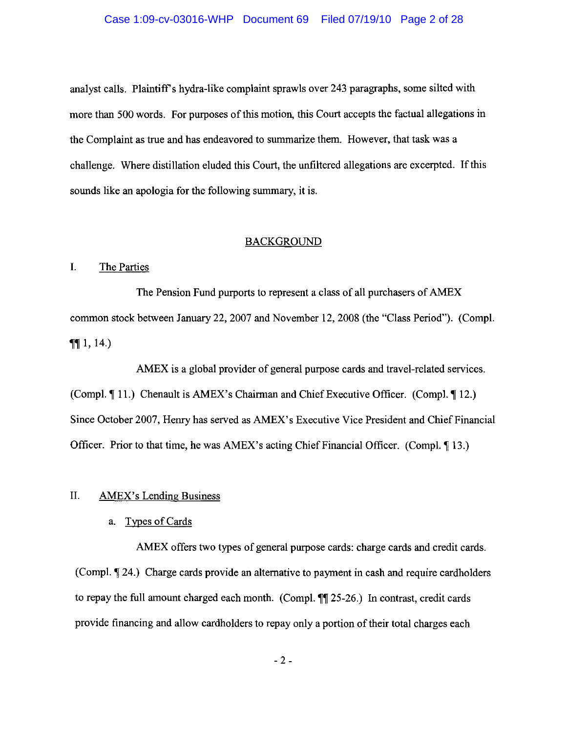### Case 1:09-cv-03016-WHP Document 69 Filed 07/19/10 Page 2 of 28

analyst calls. Plaintiff's hydra-like complaint sprawls over 243 paragraphs, some silted with more than 500 words. For purposes of this motion, this Court accepts the factual allegations in the Complaint as true and has endeavored to summarize them. However, that task was a challenge. Where distillation eluded this Court, the unfiltered allegations are excerpted. If this sounds like an apologia for the following summary, it is.

#### **BACKGROUND**

#### $\mathbf{I}$ . The Parties

The Pension Fund purports to represent a class of all purchasers of AMEX common stock between January 22, 2007 and November 12, 2008 (the "Class Period"). (Compl.  $\P\P$  1, 14.

AMEX is a global provider of general purpose cards and travel-related services. (Compl. ¶ 11.) Chenault is AMEX's Chairman and Chief Executive Officer. (Compl. ¶ 12.) Since October 2007, Henry has served as AMEX's Executive Vice President and Chief Financial Officer. Prior to that time, he was AMEX's acting Chief Financial Officer. (Compl. 13.)

#### $II.$ **AMEX's Lending Business**

a. Types of Cards

AMEX offers two types of general purpose cards: charge cards and credit cards. (Compl. 124.) Charge cards provide an alternative to payment in cash and require cardholders to repay the full amount charged each month. (Compl. ¶¶ 25-26.) In contrast, credit cards provide financing and allow cardholders to repay only a portion of their total charges each

 $-2-$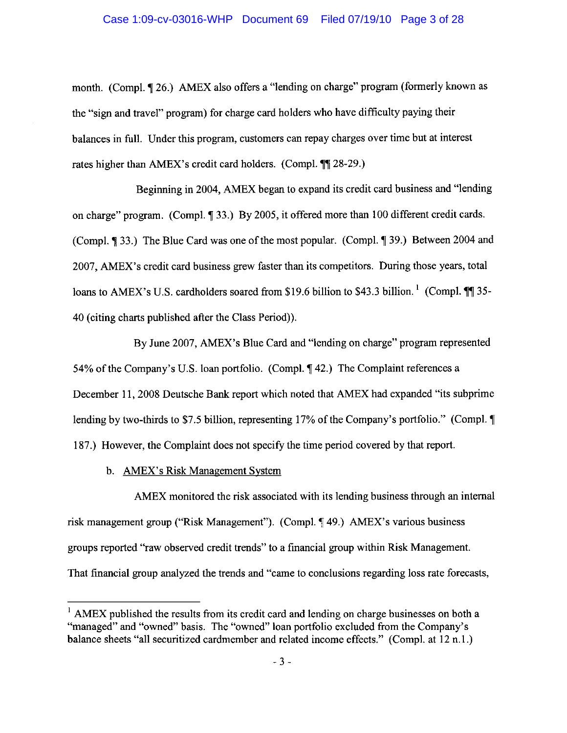### Case 1:09-cv-03016-WHP Document 69 Filed 07/19/10 Page 3 of 28

month. (Compl. ¶ 26.) AMEX also offers a "lending on charge" program (formerly known as the "sign and travel" program) for charge card holders who have difficulty paying their balances in full. Under this program, customers can repay charges over time but at interest rates higher than AMEX's credit card holders. (Compl. ¶¶ 28-29.)

Beginning in 2004, AMEX began to expand its credit card business and "lending on charge" program. (Compl. 1 33.) By 2005, it offered more than 100 different credit cards. (Compl. 133.) The Blue Card was one of the most popular. (Compl. 139.) Between 2004 and 2007, AMEX's credit card business grew faster than its competitors. During those years, total loans to AMEX's U.S. cardholders soared from \$19.6 billion to \$43.3 billion.<sup>1</sup> (Compl. 11 35-40 (citing charts published after the Class Period)).

By June 2007, AMEX's Blue Card and "lending on charge" program represented 54% of the Company's U.S. loan portfolio. (Compl. 142.) The Complaint references a December 11, 2008 Deutsche Bank report which noted that AMEX had expanded "its subprime" lending by two-thirds to \$7.5 billion, representing 17% of the Company's portfolio." (Compl. \[ 187.) However, the Complaint does not specify the time period covered by that report.

b. AMEX's Risk Management System

AMEX monitored the risk associated with its lending business through an internal risk management group ("Risk Management"). (Compl. ¶49.) AMEX's various business groups reported "raw observed credit trends" to a financial group within Risk Management. That financial group analyzed the trends and "came to conclusions regarding loss rate forecasts,

 $1$  AMEX published the results from its credit card and lending on charge businesses on both a "managed" and "owned" basis. The "owned" loan portfolio excluded from the Company's balance sheets "all securitized cardmember and related income effects." (Compl. at 12 n.1.)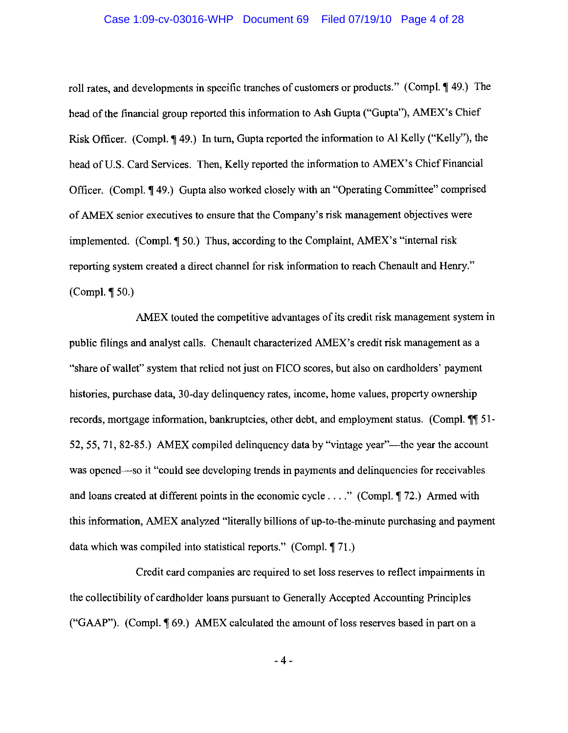### Case 1:09-cv-03016-WHP Document 69 Filed 07/19/10 Page 4 of 28

roll rates, and developments in specific tranches of customers or products." (Compl. 149.) The head of the financial group reported this information to Ash Gupta ("Gupta"), AMEX's Chief Risk Officer. (Compl. ¶49.) In turn, Gupta reported the information to Al Kelly ("Kelly"), the head of U.S. Card Services. Then, Kelly reported the information to AMEX's Chief Financial Officer. (Compl. ¶49.) Gupta also worked closely with an "Operating Committee" comprised of AMEX senior executives to ensure that the Company's risk management objectives were implemented. (Compl. ¶ 50.) Thus, according to the Complaint, AMEX's "internal risk reporting system created a direct channel for risk information to reach Chenault and Henry."  $(Compl. \P 50.)$ 

AMEX touted the competitive advantages of its credit risk management system in public filings and analyst calls. Chenault characterized AMEX's credit risk management as a "share of wallet" system that relied not just on FICO scores, but also on cardholders' payment histories, purchase data, 30-day delinquency rates, income, home values, property ownership records, mortgage information, bankruptcies, other debt, and employment status. (Compl. 11 51-52, 55, 71, 82-85.) AMEX compiled delinguency data by "vintage year"—the year the account was opened—so it "could see developing trends in payments and delinquencies for receivables and loans created at different points in the economic cycle . . . ." (Compl.  $\P$  72.) Armed with this information, AMEX analyzed "literally billions of up-to-the-minute purchasing and payment data which was compiled into statistical reports." (Compl. 171.)

Credit card companies are required to set loss reserves to reflect impairments in the collectibility of cardholder loans pursuant to Generally Accepted Accounting Principles ("GAAP"). (Compl. 169.) AMEX calculated the amount of loss reserves based in part on a

 $-4-$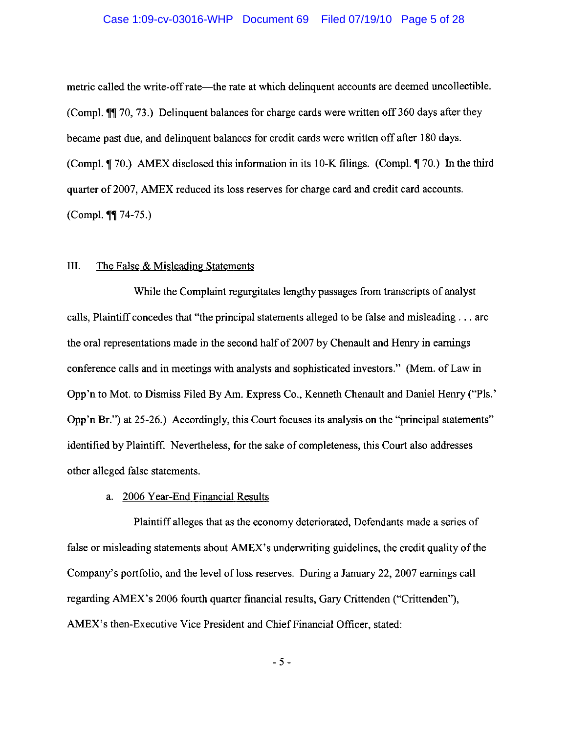### Case 1:09-cv-03016-WHP Document 69 Filed 07/19/10 Page 5 of 28

metric called the write-off rate—the rate at which delinquent accounts are deemed uncollectible. (Compl. ¶¶ 70, 73.) Delinquent balances for charge cards were written off 360 days after they became past due, and delinquent balances for credit cards were written off after 180 days. (Compl. ¶ 70.) AMEX disclosed this information in its 10-K filings. (Compl. ¶ 70.) In the third quarter of 2007, AMEX reduced its loss reserves for charge card and credit card accounts. (Compl. ¶¶ 74-75.)

#### III. The False & Misleading Statements

While the Complaint regurgitates lengthy passages from transcripts of analyst calls, Plaintiff concedes that "the principal statements alleged to be false and misleading . . . are the oral representations made in the second half of 2007 by Chenault and Henry in earnings conference calls and in meetings with analysts and sophisticated investors." (Mem. of Law in Opp'n to Mot. to Dismiss Filed By Am. Express Co., Kenneth Chenault and Daniel Henry ("Pls." Opp'n Br.") at 25-26.) Accordingly, this Court focuses its analysis on the "principal statements" identified by Plaintiff. Nevertheless, for the sake of completeness, this Court also addresses other alleged false statements.

## a. 2006 Year-End Financial Results

Plaintiff alleges that as the economy deteriorated, Defendants made a series of false or misleading statements about AMEX's underwriting guidelines, the credit quality of the Company's portfolio, and the level of loss reserves. During a January 22, 2007 earnings call regarding AMEX's 2006 fourth quarter financial results, Gary Crittenden ("Crittenden"), AMEX's then-Executive Vice President and Chief Financial Officer, stated:

 $-5-$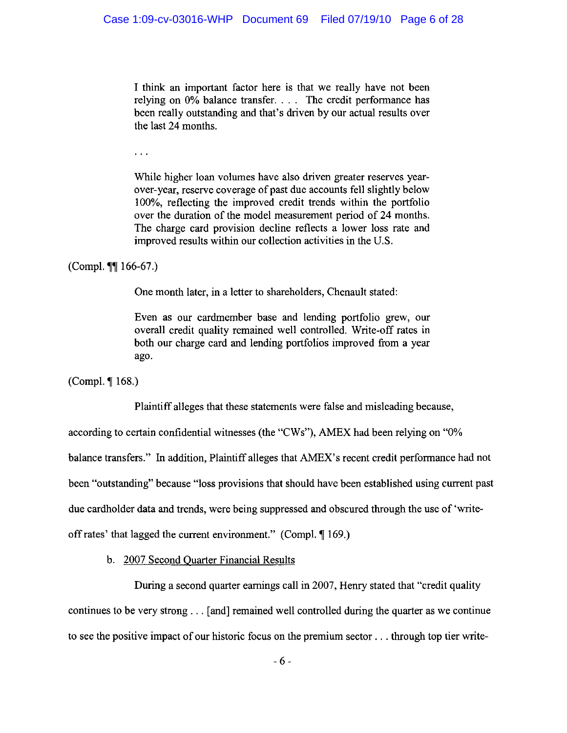I think an important factor here is that we really have not been relying on 0% balance transfer. . . . The credit performance has been really outstanding and that's driven by our actual results over the last 24 months.

 $\sim$   $\sim$ 

While higher loan volumes have also driven greater reserves yearover-year, reserve coverage of past due accounts fell slightly below 100%, reflecting the improved credit trends within the portfolio over the duration of the model measurement period of 24 months. The charge card provision decline reflects a lower loss rate and improved results within our collection activities in the U.S.

(Compl.  $\P\P$  166-67.)

One month later, in a letter to shareholders, Chenault stated:

Even as our cardmember base and lending portfolio grew, our overall credit quality remained well controlled. Write-off rates in both our charge card and lending portfolios improved from a year ago.

(Compl.  $\P$  168.)

Plaintiff alleges that these statements were false and misleading because,

according to certain confidential witnesses (the "CWs"), AMEX had been relying on "0%

balance transfers." In addition, Plaintiff alleges that AMEX's recent credit performance had not

been "outstanding" because "loss provisions that should have been established using current past

due cardholder data and trends, were being suppressed and obscured through the use of 'write-

off rates' that lagged the current environment." (Compl. 169.)

b. 2007 Second Quarter Financial Results

During a second quarter earnings call in 2007, Henry stated that "credit quality" continues to be very strong . . . [and] remained well controlled during the quarter as we continue to see the positive impact of our historic focus on the premium sector... through top tier write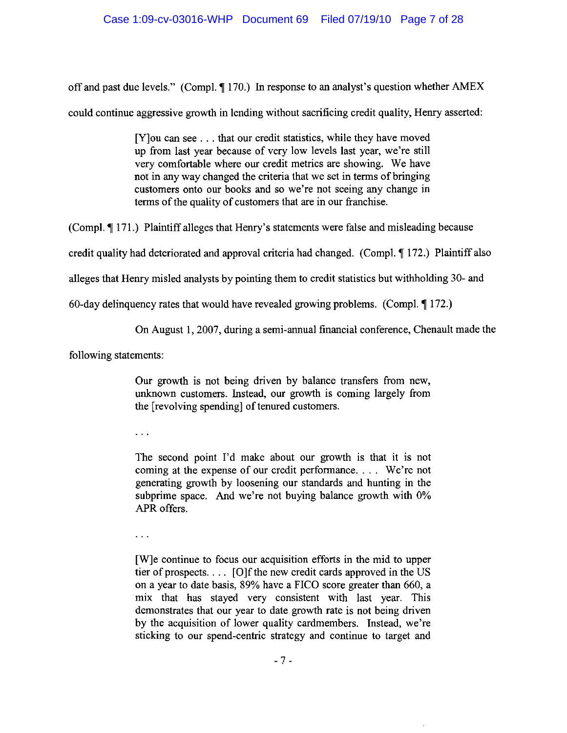off and past due levels." (Compl. ¶ 170.) In response to an analyst's question whether AMEX

could continue aggressive growth in lending without sacrificing credit quality, Henry asserted:

[Y] ou can see . . . that our credit statistics, while they have moved up from last year because of very low levels last year, we're still very comfortable where our credit metrics are showing. We have not in any way changed the criteria that we set in terms of bringing customers onto our books and so we're not seeing any change in terms of the quality of customers that are in our franchise.

(Compl. ¶ 171.) Plaintiff alleges that Henry's statements were false and misleading because

credit quality had deteriorated and approval criteria had changed. (Compl. 172.) Plaintiff also

alleges that Henry misled analysts by pointing them to credit statistics but withholding 30- and

60-day delinguency rates that would have revealed growing problems. (Compl.  $\P$  172.)

On August 1, 2007, during a semi-annual financial conference, Chenault made the

following statements:

Our growth is not being driven by balance transfers from new, unknown customers. Instead, our growth is coming largely from the [revolving spending] of tenured customers.

 $\ddotsc$ 

The second point I'd make about our growth is that it is not coming at the expense of our credit performance.... We're not generating growth by loosening our standards and hunting in the subprime space. And we're not buying balance growth with 0% APR offers.

 $\ddotsc$ 

[W]e continue to focus our acquisition efforts in the mid to upper tier of prospects.... [O]f the new credit cards approved in the US on a year to date basis, 89% have a FICO score greater than 660, a mix that has stayed very consistent with last year. This demonstrates that our year to date growth rate is not being driven by the acquisition of lower quality cardmembers. Instead, we're sticking to our spend-centric strategy and continue to target and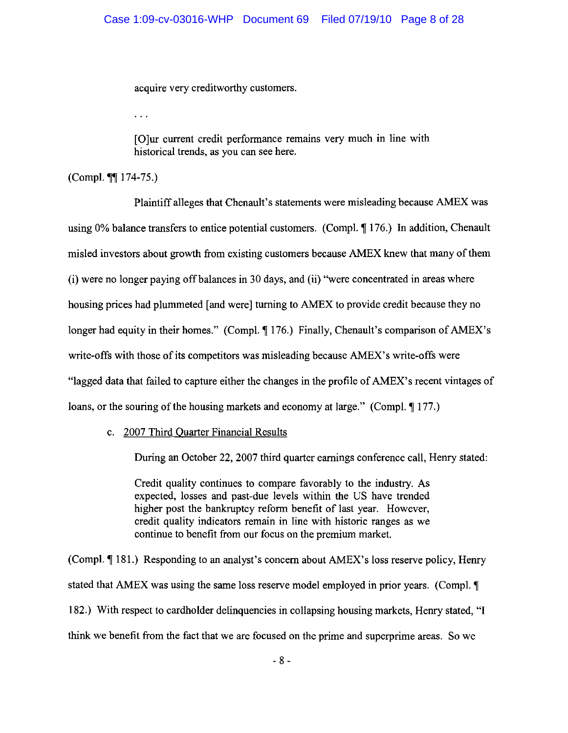acquire very creditworthy customers.

 $\mathbf{r}$ 

[O]ur current credit performance remains very much in line with historical trends, as you can see here.

(Compl. \[] 174-75.)

Plaintiff alleges that Chenault's statements were misleading because AMEX was using 0% balance transfers to entice potential customers. (Compl. 176.) In addition, Chenault misled investors about growth from existing customers because AMEX knew that many of them (i) were no longer paying off balances in 30 days, and (ii) "were concentrated in areas where housing prices had plummeted [and were] turning to AMEX to provide credit because they no longer had equity in their homes." (Compl. ¶ 176.) Finally, Chenault's comparison of AMEX's write-offs with those of its competitors was misleading because AMEX's write-offs were "lagged data that failed to capture either the changes in the profile of AMEX's recent vintages of loans, or the souring of the housing markets and economy at large." (Compl. ¶ 177.)

c. 2007 Third Quarter Financial Results

During an October 22, 2007 third quarter earnings conference call, Henry stated:

Credit quality continues to compare favorably to the industry. As expected, losses and past-due levels within the US have trended higher post the bankruptcy reform benefit of last year. However, credit quality indicators remain in line with historic ranges as we continue to benefit from our focus on the premium market.

(Compl. 181.) Responding to an analyst's concern about AMEX's loss reserve policy, Henry stated that AMEX was using the same loss reserve model employed in prior years. (Compl. ¶ 182.) With respect to cardholder delinguencies in collapsing housing markets, Henry stated, "I think we benefit from the fact that we are focused on the prime and superprime areas. So we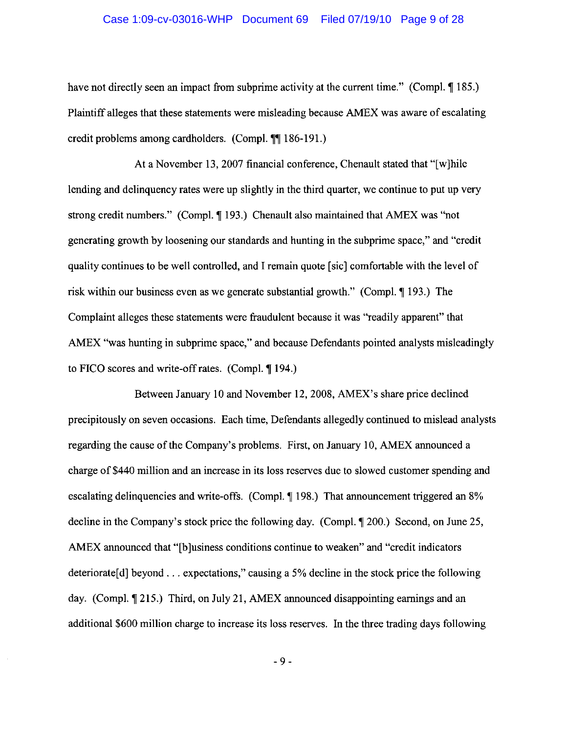### Case 1:09-cv-03016-WHP Document 69 Filed 07/19/10 Page 9 of 28

have not directly seen an impact from subprime activity at the current time." (Compl. ¶ 185.) Plaintiff alleges that these statements were misleading because AMEX was aware of escalating credit problems among cardholders. (Compl. ¶¶ 186-191.)

At a November 13, 2007 financial conference, Chenault stated that "[w] hile lending and delinquency rates were up slightly in the third quarter, we continue to put up very strong credit numbers." (Compl.  $\P$  193.) Chenault also maintained that AMEX was "not generating growth by loosening our standards and hunting in the subprime space," and "credit" quality continues to be well controlled, and I remain quote [sic] comfortable with the level of risk within our business even as we generate substantial growth." (Compl. 193.) The Complaint alleges these statements were fraudulent because it was "readily apparent" that AMEX "was hunting in subprime space," and because Defendants pointed analysts misleadingly to FICO scores and write-off rates. (Compl. ¶ 194.)

Between January 10 and November 12, 2008, AMEX's share price declined precipitously on seven occasions. Each time, Defendants allegedly continued to mislead analysts regarding the cause of the Company's problems. First, on January 10, AMEX announced a charge of \$440 million and an increase in its loss reserves due to slowed customer spending and escalating delinquencies and write-offs. (Compl. ¶ 198.) That announcement triggered an 8% decline in the Company's stock price the following day. (Compl. 1) 200.) Second, on June 25, AMEX announced that "[b]usiness conditions continue to weaken" and "credit indicators deteriorate[d] beyond . . . expectations," causing a 5% decline in the stock price the following day. (Compl. ¶ 215.) Third, on July 21, AMEX announced disappointing earnings and an additional \$600 million charge to increase its loss reserves. In the three trading days following

 $-9-$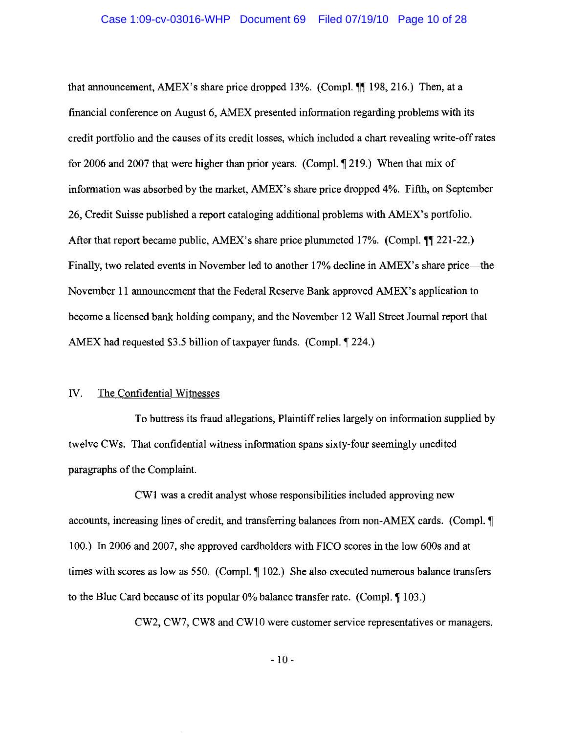#### Case 1:09-cv-03016-WHP Document 69 Filed 07/19/10 Page 10 of 28

that announcement, AMEX's share price dropped 13%. (Compl. 198, 216.) Then, at a financial conference on August 6, AMEX presented information regarding problems with its credit portfolio and the causes of its credit losses, which included a chart revealing write-off rates for 2006 and 2007 that were higher than prior years. (Compl. 1219.) When that mix of information was absorbed by the market, AMEX's share price dropped 4%. Fifth, on September 26, Credit Suisse published a report cataloging additional problems with AMEX's portfolio. After that report became public, AMEX's share price plummeted 17%. (Compl. ¶ 221-22.) Finally, two related events in November led to another 17% decline in AMEX's share price—the November 11 announcement that the Federal Reserve Bank approved AMEX's application to become a licensed bank holding company, and the November 12 Wall Street Journal report that AMEX had requested \$3.5 billion of taxpayer funds. (Compl. 1224.)

#### IV. The Confidential Witnesses

To buttress its fraud allegations, Plaintiff relies largely on information supplied by twelve CWs. That confidential witness information spans sixty-four seemingly unedited paragraphs of the Complaint.

CW1 was a credit analyst whose responsibilities included approving new accounts, increasing lines of credit, and transferring balances from non-AMEX cards. (Compl. ¶ 100.) In 2006 and 2007, she approved cardholders with FICO scores in the low 600s and at times with scores as low as 550. (Compl.  $\P$  102.) She also executed numerous balance transfers to the Blue Card because of its popular  $0\%$  balance transfer rate. (Compl.  $\P$  103.)

CW2, CW7, CW8 and CW10 were customer service representatives or managers.

 $-10-$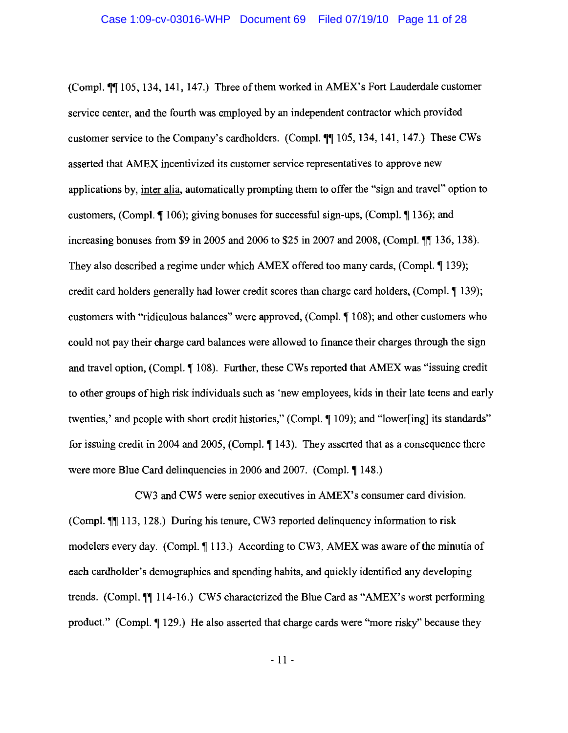(Compl. ¶¶ 105, 134, 141, 147.) Three of them worked in AMEX's Fort Lauderdale customer service center, and the fourth was employed by an independent contractor which provided customer service to the Company's cardholders. (Compl. ¶ 105, 134, 141, 147.) These CWs asserted that AMEX incentivized its customer service representatives to approve new applications by, inter alia, automatically prompting them to offer the "sign and travel" option to customers, (Compl.  $\P$  106); giving bonuses for successful sign-ups, (Compl.  $\P$  136); and increasing bonuses from \$9 in 2005 and 2006 to \$25 in 2007 and 2008, (Compl. 11 136, 138). They also described a regime under which AMEX offered too many cards, (Compl. 1 139); credit card holders generally had lower credit scores than charge card holders, (Compl. 1 139); customers with "ridiculous balances" were approved, (Compl. ¶ 108); and other customers who could not pay their charge card balances were allowed to finance their charges through the sign and travel option, (Compl. ¶ 108). Further, these CWs reported that AMEX was "issuing credit" to other groups of high risk individuals such as 'new employees, kids in their late teens and early twenties,' and people with short credit histories," (Compl. ¶ 109); and "lower[ing] its standards" for issuing credit in 2004 and 2005, (Compl. ¶ 143). They asserted that as a consequence there were more Blue Card delinquencies in 2006 and 2007. (Compl. 148.)

CW3 and CW5 were senior executives in AMEX's consumer card division. (Compl.  $\P$ ] 113, 128.) During his tenure, CW3 reported delinguency information to risk modelers every day. (Compl. 113.) According to CW3, AMEX was aware of the minutia of each cardholder's demographics and spending habits, and quickly identified any developing trends. (Compl. 114-16.) CW5 characterized the Blue Card as "AMEX's worst performing product." (Compl. ¶ 129.) He also asserted that charge cards were "more risky" because they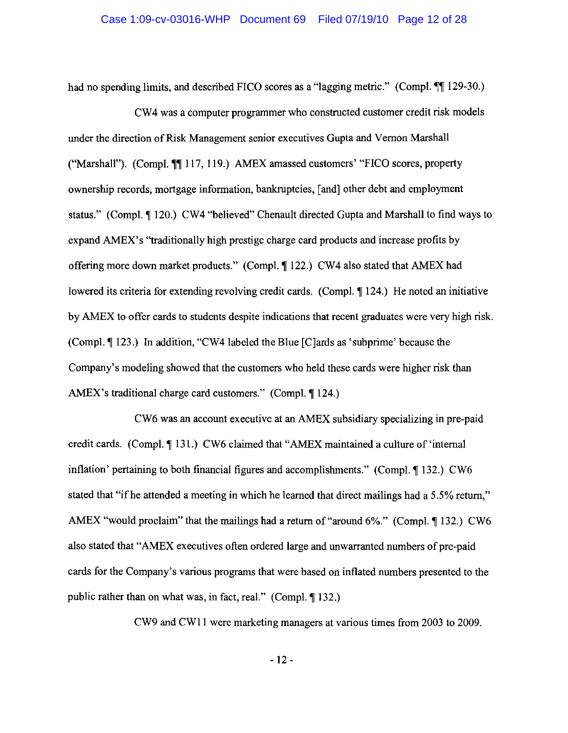had no spending limits, and described FICO scores as a "lagging metric." (Compl. [129-30.)

CW4 was a computer programmer who constructed customer credit risk models under the direction of Risk Management senior executives Gupta and Vernon Marshall ("Marshall"). (Compl. 117, 119.) AMEX amassed customers' "FICO scores, property ownership records, mortgage information, bankruptcies, [and] other debt and employment status." (Compl. ¶ 120.) CW4 "believed" Chenault directed Gupta and Marshall to find ways to expand AMEX's "traditionally high prestige charge card products and increase profits by offering more down market products." (Compl. 1122.) CW4 also stated that AMEX had lowered its criteria for extending revolving credit cards. (Compl. 1124.) He noted an initiative by AMEX to offer cards to students despite indications that recent graduates were very high risk. (Compl. ¶ 123.) In addition, "CW4 labeled the Blue [Clards as 'subprime' because the Company's modeling showed that the customers who held these cards were higher risk than AMEX's traditional charge card customers." (Compl. 124.)

CW6 was an account executive at an AMEX subsidiary specializing in pre-paid credit cards. (Compl. ¶ 131.) CW6 claimed that "AMEX maintained a culture of 'internal inflation' pertaining to both financial figures and accomplishments." (Compl. 1 132.) CW6 stated that "if he attended a meeting in which he learned that direct mailings had a 5.5% return," AMEX "would proclaim" that the mailings had a return of "around 6%." (Compl. 1 132.) CW6 also stated that "AMEX executives often ordered large and unwarranted numbers of pre-paid cards for the Company's various programs that were based on inflated numbers presented to the public rather than on what was, in fact, real." (Compl. 132.)

CW9 and CW11 were marketing managers at various times from 2003 to 2009.

 $-12-$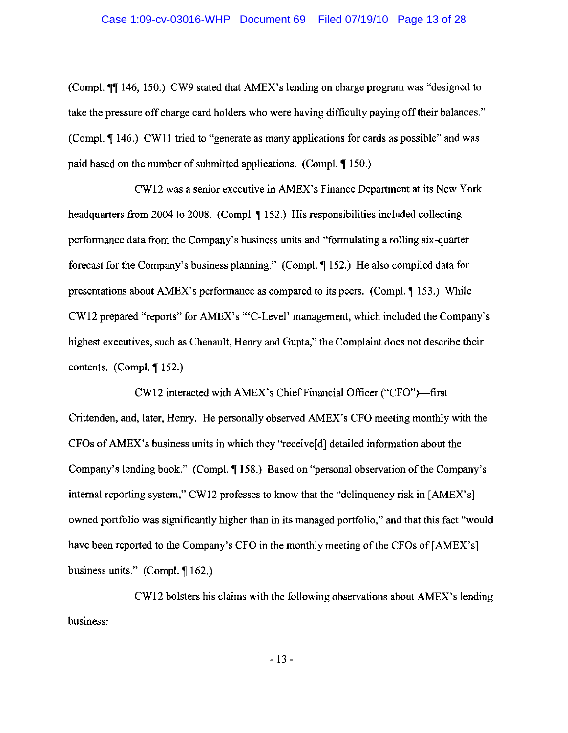(Compl. ¶¶ 146, 150.) CW9 stated that AMEX's lending on charge program was "designed to take the pressure off charge card holders who were having difficulty paying off their balances." (Compl. ¶ 146.) CW11 tried to "generate as many applications for cards as possible" and was paid based on the number of submitted applications. (Compl. 150.)

CW12 was a senior executive in AMEX's Finance Department at its New York headquarters from 2004 to 2008. (Compl. 152.) His responsibilities included collecting performance data from the Company's business units and "formulating a rolling six-quarter forecast for the Company's business planning." (Compl. 152.) He also compiled data for presentations about AMEX's performance as compared to its peers. (Compl. 153.) While CW12 prepared "reports" for AMEX's "'C-Level' management, which included the Company's highest executives, such as Chenault, Henry and Gupta," the Complaint does not describe their contents. (Compl.  $\P$  152.)

CW12 interacted with AMEX's Chief Financial Officer ("CFO")-first Crittenden, and, later, Henry. He personally observed AMEX's CFO meeting monthly with the CFOs of AMEX's business units in which they "receive<sup>[d]</sup> detailed information about the Company's lending book." (Compl. ¶158.) Based on "personal observation of the Company's internal reporting system," CW12 professes to know that the "delinquency risk in [AMEX's] owned portfolio was significantly higher than in its managed portfolio," and that this fact "would have been reported to the Company's CFO in the monthly meeting of the CFOs of [AMEX's] business units." (Compl.  $\P$ 162.)

CW12 bolsters his claims with the following observations about AMEX's lending business: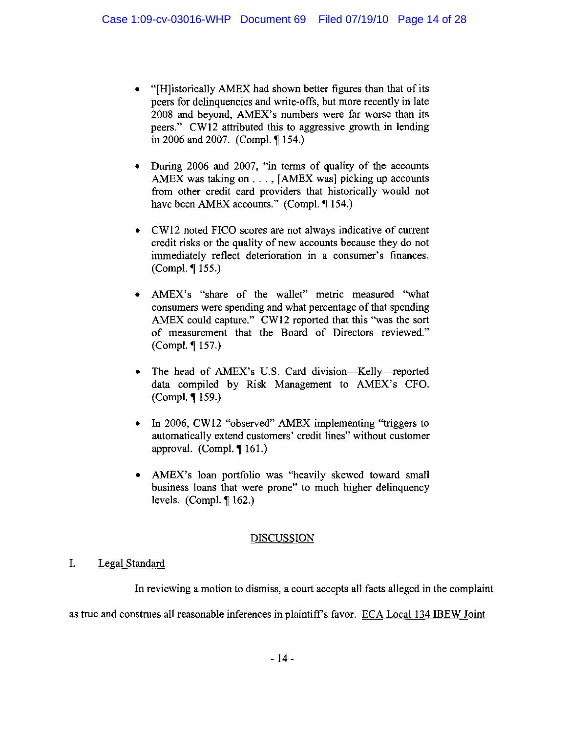- "[H]istorically AMEX had shown better figures than that of its peers for delinquencies and write-offs, but more recently in late 2008 and bevond. AMEX's numbers were far worse than its peers." CW12 attributed this to aggressive growth in lending in 2006 and 2007. (Compl.  $\P$  154.)
- During 2006 and 2007, "in terms of quality of the accounts AMEX was taking on . . . , [AMEX was] picking up accounts from other credit card providers that historically would not have been AMEX accounts." (Compl. ¶ 154.)
- CW12 noted FICO scores are not always indicative of current  $\bullet$ credit risks or the quality of new accounts because they do not immediately reflect deterioration in a consumer's finances. (Compl. ¶ 155.)
- AMEX's "share of the wallet" metric measured "what  $\bullet$ consumers were spending and what percentage of that spending AMEX could capture." CW12 reported that this "was the sort of measurement that the Board of Directors reviewed." (Compl. ¶ 157.)
- The head of AMEX's U.S. Card division-Kelly-reported  $\bullet$ data compiled by Risk Management to AMEX's CFO. (Compl. ¶ 159.)
- In 2006, CW12 "observed" AMEX implementing "triggers to automatically extend customers' credit lines" without customer approval. (Compl.  $\P$  161.)
- AMEX's loan portfolio was "heavily skewed toward small business loans that were prone" to much higher delinquency levels. (Compl.  $\P$  162.)

# **DISCUSSION**

#### $\mathbf{I}$ . Legal Standard

In reviewing a motion to dismiss, a court accepts all facts alleged in the complaint

as true and construes all reasonable inferences in plaintiff's favor. ECA Local 134 IBEW Joint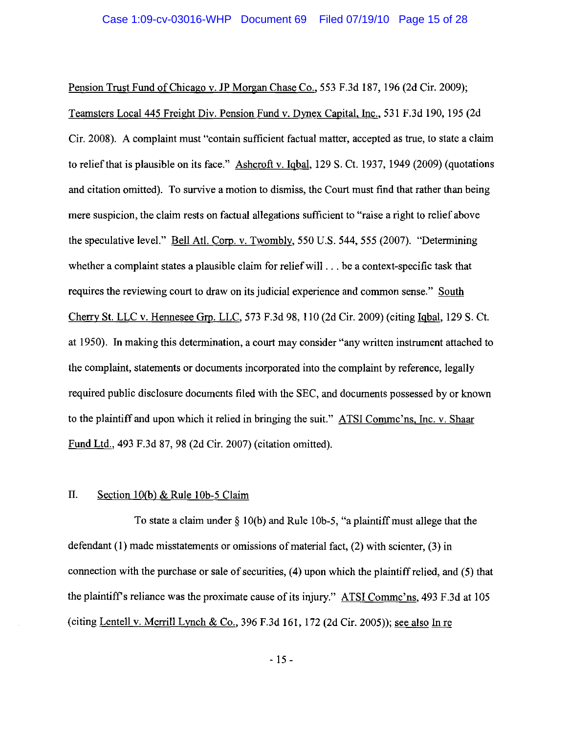Pension Trust Fund of Chicago v. JP Morgan Chase Co., 553 F.3d 187, 196 (2d Cir. 2009); Teamsters Local 445 Freight Div. Pension Fund v. Dynex Capital, Inc., 531 F.3d 190, 195 (2d) Cir. 2008). A complaint must "contain sufficient factual matter, accepted as true, to state a claim to relief that is plausible on its face." Ashcroft v. Igbal, 129 S. Ct. 1937, 1949 (2009) (quotations and citation omitted). To survive a motion to dismiss, the Court must find that rather than being mere suspicion, the claim rests on factual allegations sufficient to "raise a right to relief above" the speculative level." Bell Atl. Corp. v. Twombly, 550 U.S. 544, 555 (2007). "Determining whether a complaint states a plausible claim for relief will ... be a context-specific task that requires the reviewing court to draw on its judicial experience and common sense." South Cherry St. LLC v. Hennesee Grp. LLC, 573 F.3d 98, 110 (2d Cir. 2009) (citing Igbal, 129 S. Ct. at 1950). In making this determination, a court may consider "any written instrument attached to the complaint, statements or documents incorporated into the complaint by reference, legally required public disclosure documents filed with the SEC, and documents possessed by or known to the plaintiff and upon which it relied in bringing the suit." ATSI Comme'ns, Inc. v. Shaar Fund Ltd., 493 F.3d 87, 98 (2d Cir. 2007) (citation omitted).

#### Π. Section  $10(b)$  & Rule 10b-5 Claim

To state a claim under  $\S 10(b)$  and Rule 10b-5, "a plaintiff must allege that the defendant  $(1)$  made misstatements or omissions of material fact,  $(2)$  with scienter,  $(3)$  in connection with the purchase or sale of securities, (4) upon which the plaintiff relied, and (5) that the plaintiff's reliance was the proximate cause of its injury." ATSI Comme'ns, 493 F.3d at 105 (citing Lentell v. Merrill Lynch & Co., 396 F.3d 161, 172 (2d Cir. 2005)); see also In re

 $-15-$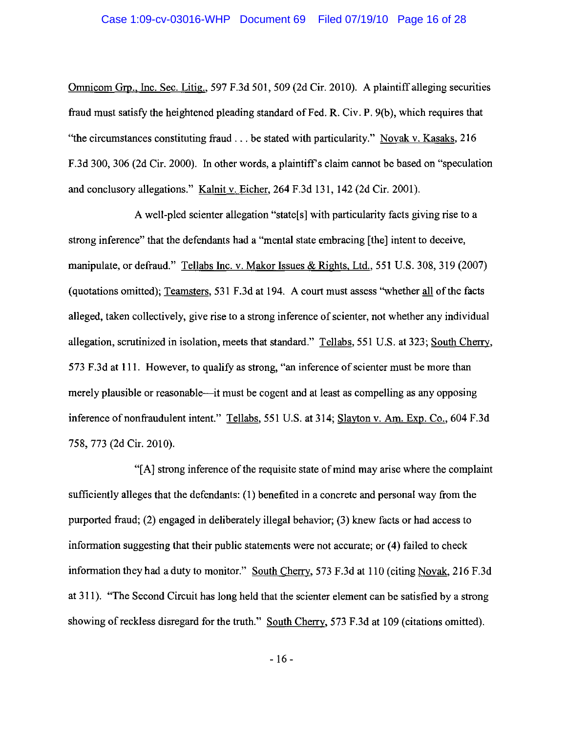Omnicom Grp., Inc. Sec. Litig., 597 F.3d 501, 509 (2d Cir. 2010). A plaintiff alleging securities fraud must satisfy the heightened pleading standard of Fed. R. Civ. P. 9(b), which requires that "the circumstances constituting fraud  $\ldots$  be stated with particularity." Novak v. Kasaks, 216 F.3d 300, 306 (2d Cir. 2000). In other words, a plaintiff's claim cannot be based on "speculation" and conclusory allegations." Kalnit v. Eicher, 264 F.3d 131, 142 (2d Cir. 2001).

A well-pled scienter allegation "state s with particularity facts giving rise to a strong inference" that the defendants had a "mental state embracing [the] intent to deceive, manipulate, or defraud." Tellabs Inc. v. Makor Issues & Rights, Ltd., 551 U.S. 308, 319 (2007) (quotations omitted): Teamsters, 531 F.3d at 194. A court must assess "whether all of the facts alleged, taken collectively, give rise to a strong inference of scienter, not whether any individual allegation, scrutinized in isolation, meets that standard." Tellabs, 551 U.S. at 323; South Cherry, 573 F.3d at 111. However, to qualify as strong, "an inference of scienter must be more than merely plausible or reasonable—it must be cogent and at least as compelling as any opposing inference of nonfraudulent intent." Tellabs, 551 U.S. at 314; Slayton v. Am. Exp. Co., 604 F.3d 758, 773 (2d Cir. 2010).

"[A] strong inference of the requisite state of mind may arise where the complaint sufficiently alleges that the defendants: (1) benefited in a concrete and personal way from the purported fraud; (2) engaged in deliberately illegal behavior; (3) knew facts or had access to information suggesting that their public statements were not accurate; or (4) failed to check information they had a duty to monitor." South Cherry, 573 F.3d at 110 (citing Novak, 216 F.3d) at 311). "The Second Circuit has long held that the scienter element can be satisfied by a strong showing of reckless disregard for the truth." South Cherry, 573 F.3d at 109 (citations omitted).

 $-16-$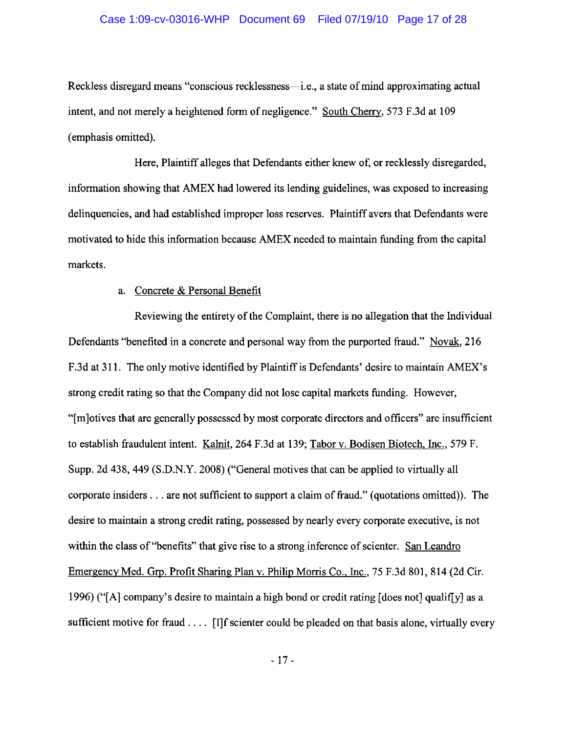### Case 1:09-cv-03016-WHP Document 69 Filed 07/19/10 Page 17 of 28

Reckless disregard means "conscious recklessness—i.e., a state of mind approximating actual intent, and not merely a heightened form of negligence." South Cherry, 573 F.3d at 109 (emphasis omitted).

Here, Plaintiff alleges that Defendants either knew of, or recklessly disregarded, information showing that AMEX had lowered its lending guidelines, was exposed to increasing delinquencies, and had established improper loss reserves. Plaintiff avers that Defendants were motivated to hide this information because AMEX needed to maintain funding from the capital markets.

### a. Concrete & Personal Benefit

Reviewing the entirety of the Complaint, there is no allegation that the Individual Defendants "benefited in a concrete and personal way from the purported fraud." Novak, 216 F.3d at 311. The only motive identified by Plaintiff is Defendants' desire to maintain AMEX's strong credit rating so that the Company did not lose capital markets funding. However, "Im lotives that are generally possessed by most corporate directors and officers" are insufficient to establish fraudulent intent. Kalnit, 264 F.3d at 139; Tabor v. Bodisen Biotech, Inc., 579 F. Supp. 2d 438, 449 (S.D.N.Y. 2008) ("General motives that can be applied to virtually all corporate insiders . . . are not sufficient to support a claim of fraud." (quotations omitted)). The desire to maintain a strong credit rating, possessed by nearly every corporate executive, is not within the class of "benefits" that give rise to a strong inference of scienter. San Leandro Emergency Med. Grp. Profit Sharing Plan v. Philip Morris Co., Inc., 75 F.3d 801, 814 (2d Cir. 1996) ("[A] company's desire to maintain a high bond or credit rating [does not] qualif[y] as a sufficient motive for fraud . . . . [I]f scienter could be pleaded on that basis alone, virtually every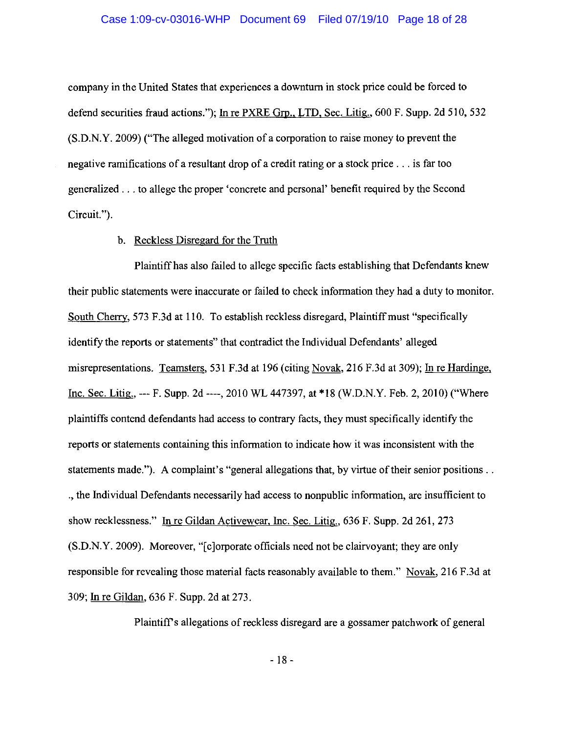company in the United States that experiences a downturn in stock price could be forced to defend securities fraud actions."); In re PXRE Grp., LTD, Sec. Litig., 600 F. Supp. 2d 510, 532 (S.D.N.Y. 2009) ("The alleged motivation of a corporation to raise money to prevent the negative ramifications of a resultant drop of a credit rating or a stock price . . . is far too generalized . . . to allege the proper 'concrete and personal' benefit required by the Second Circuit.").

### b. Reckless Disregard for the Truth

Plaintiff has also failed to allege specific facts establishing that Defendants knew their public statements were inaccurate or failed to check information they had a duty to monitor. South Cherry, 573 F.3d at 110. To establish reckless disregard, Plaintiff must "specifically identify the reports or statements" that contradict the Individual Defendants' alleged misrepresentations. Teamsters, 531 F.3d at 196 (citing Novak, 216 F.3d at 309); In re Hardinge, Inc. Sec. Litig., --- F. Supp. 2d ----, 2010 WL 447397, at \*18 (W.D.N.Y. Feb. 2, 2010) ("Where plaintiffs contend defendants had access to contrary facts, they must specifically identify the reports or statements containing this information to indicate how it was inconsistent with the statements made."). A complaint's "general allegations that, by virtue of their senior positions... ., the Individual Defendants necessarily had access to nonpublic information, are insufficient to show recklessness." In re Gildan Activewear, Inc. Sec. Litig., 636 F. Supp. 2d 261, 273 (S.D.N.Y. 2009). Moreover, "[c]orporate officials need not be clairy ovant; they are only responsible for revealing those material facts reasonably available to them." Novak, 216 F.3d at 309; In re Gildan, 636 F. Supp. 2d at 273.

Plaintiff's allegations of reckless disregard are a gossamer patchwork of general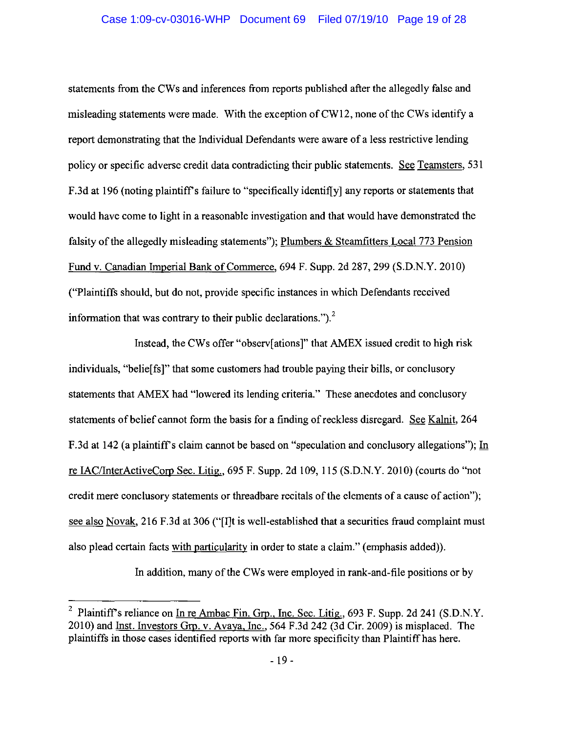## Case 1:09-cv-03016-WHP Document 69 Filed 07/19/10 Page 19 of 28

statements from the CWs and inferences from reports published after the allegedly false and misleading statements were made. With the exception of CW12, none of the CWs identify a report demonstrating that the Individual Defendants were aware of a less restrictive lending policy or specific adverse credit data contradicting their public statements. See Teamsters, 531 F.3d at 196 (noting plaintiff's failure to "specifically identif[y] any reports or statements that would have come to light in a reasonable investigation and that would have demonstrated the falsity of the allegedly misleading statements"); Plumbers & Steamfitters Local 773 Pension Fund v. Canadian Imperial Bank of Commerce, 694 F. Supp. 2d 287, 299 (S.D.N.Y. 2010) ("Plaintiffs should, but do not, provide specific instances in which Defendants received information that was contrary to their public declarations."). $<sup>2</sup>$ </sup>

Instead, the CWs offer "observertions" that AMEX issued credit to high risk individuals, "belieffs]" that some customers had trouble paying their bills, or conclusory statements that AMEX had "lowered its lending criteria." These anecdotes and conclusory statements of belief cannot form the basis for a finding of reckless disregard. See Kalnit, 264 F.3d at 142 (a plaintiff's claim cannot be based on "speculation and conclusory allegations"); In re IAC/InterActiveCorp Sec. Litig., 695 F. Supp. 2d 109, 115 (S.D.N.Y. 2010) (courts do "not credit mere conclusory statements or threadbare recitals of the elements of a cause of action"); see also Novak, 216 F.3d at 306 ("[I]t is well-established that a securities fraud complaint must also plead certain facts with particularity in order to state a claim." (emphasis added)).

In addition, many of the CWs were employed in rank-and-file positions or by

 $\boldsymbol{z}$ Plaintiff's reliance on In re Ambac Fin. Grp., Inc. Sec. Litig., 693 F. Supp. 2d 241 (S.D.N.Y. 2010) and Inst. Investors Grp. v. Avava, Inc., 564 F.3d 242 (3d Cir. 2009) is misplaced. The plaintiffs in those cases identified reports with far more specificity than Plaintiff has here.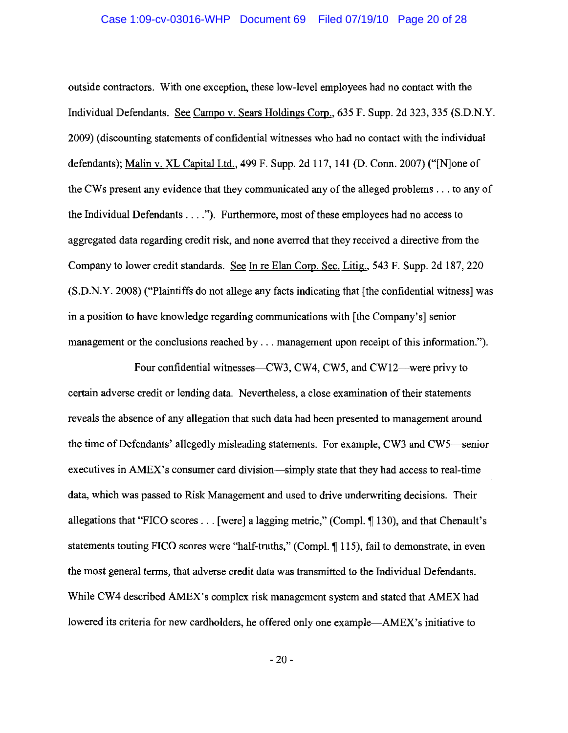#### Case 1:09-cv-03016-WHP Document 69 Filed 07/19/10 Page 20 of 28

outside contractors. With one exception, these low-level employees had no contact with the Individual Defendants. See Campo v. Sears Holdings Corp., 635 F. Supp. 2d 323, 335 (S.D.N.Y.) 2009) (discounting statements of confidential witnesses who had no contact with the individual defendants); Malin v. XL Capital Ltd., 499 F. Supp. 2d 117, 141 (D. Conn. 2007) ("None of the CWs present any evidence that they communicated any of the alleged problems . . . to any of the Individual Defendants . . . ."). Furthermore, most of these employees had no access to aggregated data regarding credit risk, and none averred that they received a directive from the Company to lower credit standards. See In re Elan Corp. Sec. Litig., 543 F. Supp. 2d 187, 220 (S.D.N.Y. 2008) ("Plaintiffs do not allege any facts indicating that [the confidential witness] was in a position to have knowledge regarding communications with [the Company's] senior management or the conclusions reached by . . . management upon receipt of this information.").

Four confidential witnesses—CW3, CW4, CW5, and CW12—were privy to certain adverse credit or lending data. Nevertheless, a close examination of their statements reveals the absence of any allegation that such data had been presented to management around the time of Defendants' allegedly misleading statements. For example, CW3 and CW5—senior executives in AMEX's consumer card division—simply state that they had access to real-time data, which was passed to Risk Management and used to drive underwriting decisions. Their allegations that "FICO scores . . . [were] a lagging metric," (Compl. 1 130), and that Chenault's statements touting FICO scores were "half-truths," (Compl. ¶ 115), fail to demonstrate, in even the most general terms, that adverse credit data was transmitted to the Individual Defendants. While CW4 described AMEX's complex risk management system and stated that AMEX had lowered its criteria for new cardholders, he offered only one example—AMEX's initiative to

 $-20-$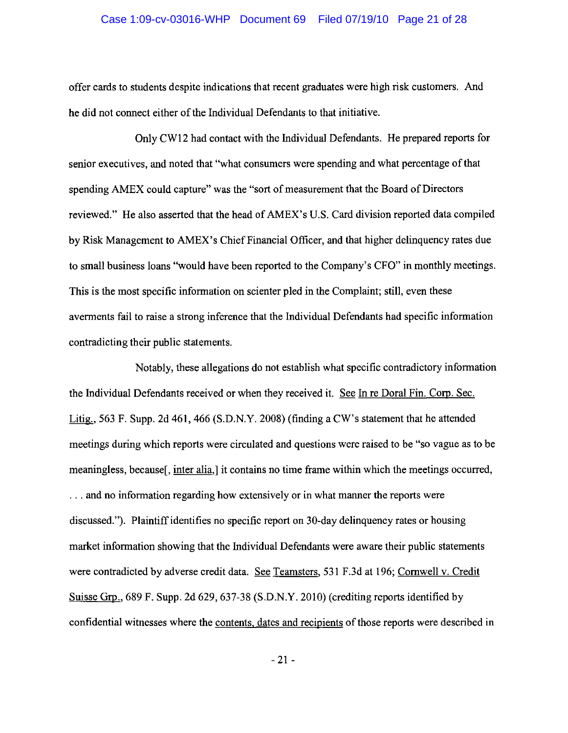#### Case 1:09-cv-03016-WHP Document 69 Filed 07/19/10 Page 21 of 28

offer cards to students despite indications that recent graduates were high risk customers. And he did not connect either of the Individual Defendants to that initiative.

Only CW12 had contact with the Individual Defendants. He prepared reports for senior executives, and noted that "what consumers were spending and what percentage of that spending AMEX could capture" was the "sort of measurement that the Board of Directors" reviewed." He also asserted that the head of AMEX's U.S. Card division reported data compiled by Risk Management to AMEX's Chief Financial Officer, and that higher delinquency rates due to small business loans "would have been reported to the Company's CFO" in monthly meetings. This is the most specific information on scienter pled in the Complaint; still, even these averments fail to raise a strong inference that the Individual Defendants had specific information contradicting their public statements.

Notably, these allegations do not establish what specific contradictory information the Individual Defendants received or when they received it. See In re Doral Fin. Corp. Sec. Litig., 563 F. Supp. 2d 461, 466 (S.D.N.Y. 2008) (finding a CW's statement that he attended meetings during which reports were circulated and questions were raised to be "so vague as to be" meaningless, because, inter alia, it contains no time frame within which the meetings occurred, ... and no information regarding how extensively or in what manner the reports were discussed."). Plaintiff identifies no specific report on 30-day delinquency rates or housing market information showing that the Individual Defendants were aware their public statements were contradicted by adverse credit data. See Teamsters, 531 F.3d at 196; Cornwell v. Credit Suisse Grp., 689 F. Supp. 2d 629, 637-38 (S.D.N.Y. 2010) (crediting reports identified by confidential witnesses where the contents, dates and recipients of those reports were described in

 $-21-$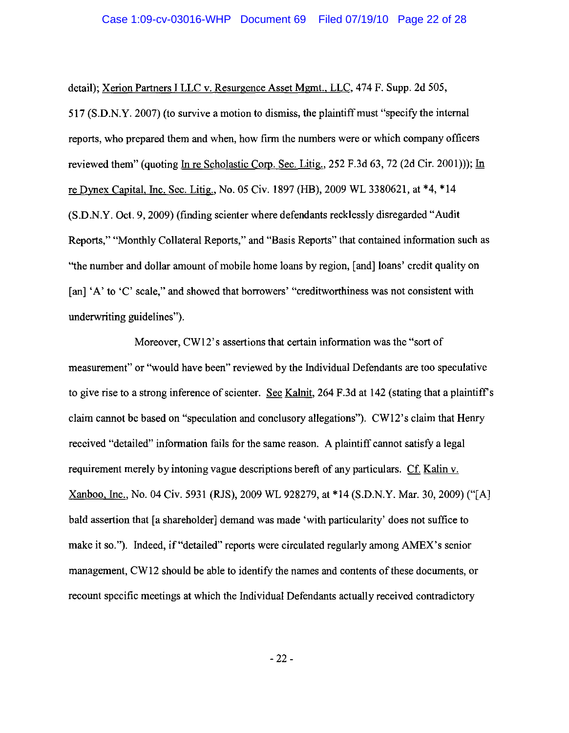detail); Xerion Partners I LLC v. Resurgence Asset Mgmt., LLC, 474 F. Supp. 2d 505,

517 (S.D.N.Y. 2007) (to survive a motion to dismiss, the plaint of must "specify the internal reports, who prepared them and when, how firm the numbers were or which company officers reviewed them" (quoting In re Scholastic Corp. Sec. Litig., 252 F.3d 63, 72 (2d Cir. 2001))); In re Dynex Capital, Inc. Sec. Litig., No. 05 Civ. 1897 (HB), 2009 WL 3380621, at \*4, \*14 (S.D.N.Y. Oct. 9, 2009) (finding scienter where defendants recklessly disregarded "Audit" Reports," "Monthly Collateral Reports," and "Basis Reports" that contained information such as "the number and dollar amount of mobile home loans by region, [and] loans' credit quality on [an] 'A' to 'C' scale," and showed that borrowers' "creditworthiness was not consistent with underwriting guidelines").

Moreover, CW12's assertions that certain information was the "sort of measurement" or "would have been" reviewed by the Individual Defendants are too speculative to give rise to a strong inference of scienter. See Kalnit, 264 F.3d at 142 (stating that a plaintiff's claim cannot be based on "speculation and conclusory allegations"). CW12's claim that Henry received "detailed" information fails for the same reason. A plaintiff cannot satisfy a legal requirement merely by intoning vague descriptions bereft of any particulars. Cf. Kalin v. Xanboo, Inc., No. 04 Civ. 5931 (RJS), 2009 WL 928279, at \*14 (S.D.N.Y. Mar. 30, 2009) ("[A] bald assertion that [a shareholder] demand was made 'with particularity' does not suffice to make it so."). Indeed, if "detailed" reports were circulated regularly among AMEX's senior management, CW12 should be able to identify the names and contents of these documents, or recount specific meetings at which the Individual Defendants actually received contradictory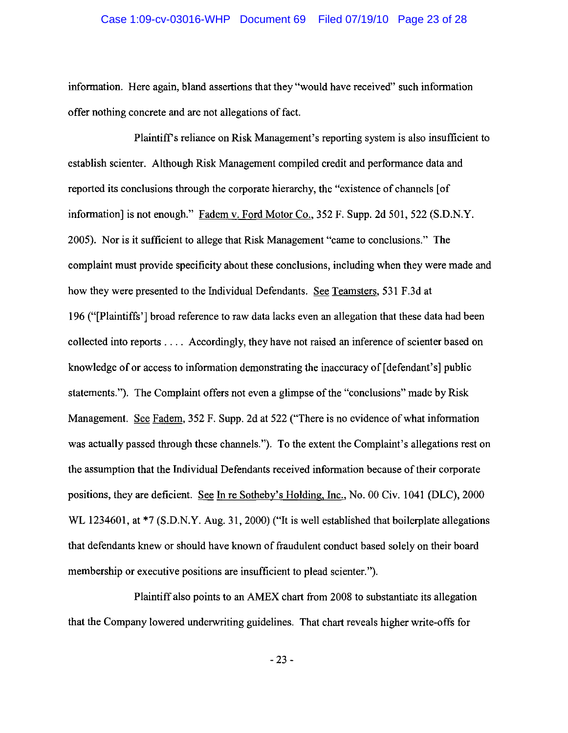#### Case 1:09-cv-03016-WHP Document 69 Filed 07/19/10 Page 23 of 28

information. Here again, bland assertions that they "would have received" such information offer nothing concrete and are not allegations of fact.

Plaintiff's reliance on Risk Management's reporting system is also insufficient to establish scienter. Although Risk Management compiled credit and performance data and reported its conclusions through the corporate hierarchy, the "existence of channels [of information] is not enough." Fadem v. Ford Motor Co., 352 F. Supp. 2d 501, 522 (S.D.N.Y. 2005). Nor is it sufficient to allege that Risk Management "came to conclusions." The complaint must provide specificity about these conclusions, including when they were made and how they were presented to the Individual Defendants. See Teamsters, 531 F.3d at 196 ("[Plaintiffs'] broad reference to raw data lacks even an allegation that these data had been collected into reports . . . . Accordingly, they have not raised an inference of scienter based on knowledge of or access to information demonstrating the inaccuracy of [defendant's] public statements."). The Complaint offers not even a glimpse of the "conclusions" made by Risk Management. See Fadem, 352 F. Supp. 2d at 522 ("There is no evidence of what information was actually passed through these channels."). To the extent the Complaint's allegations rest on the assumption that the Individual Defendants received information because of their corporate positions, they are deficient. See In re Sotheby's Holding, Inc., No. 00 Civ. 1041 (DLC), 2000 WL 1234601, at \*7 (S.D.N.Y. Aug. 31, 2000) ("It is well established that boilerplate allegations that defendants knew or should have known of fraudulent conduct based solely on their board membership or executive positions are insufficient to plead scienter.").

Plaintiff also points to an AMEX chart from 2008 to substantiate its allegation that the Company lowered underwriting guidelines. That chart reveals higher write-offs for

 $-23-$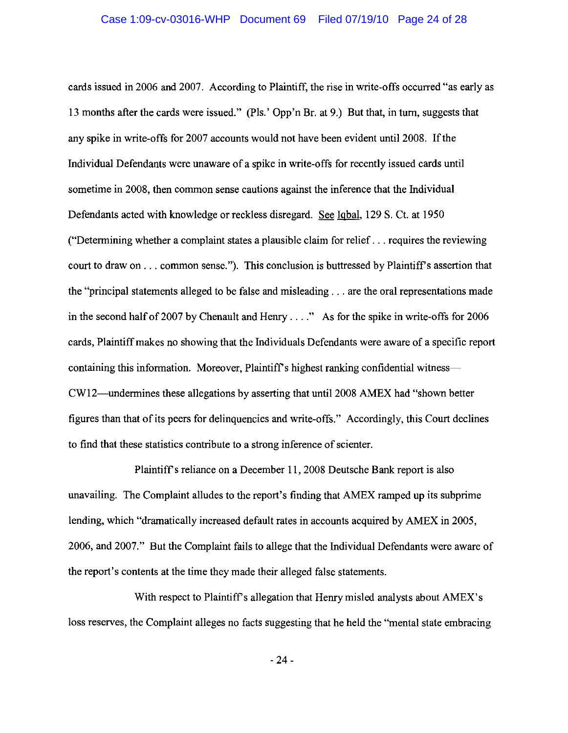cards issued in 2006 and 2007. According to Plaintiff, the rise in write-offs occurred "as early as 13 months after the cards were issued." (Pls.' Opp'n Br. at 9.) But that, in turn, suggests that any spike in write-offs for 2007 accounts would not have been evident until 2008. If the Individual Defendants were unaware of a spike in write-offs for recently issued cards until sometime in 2008, then common sense cautions against the inference that the Individual Defendants acted with knowledge or reckless disregard. See Igbal, 129 S. Ct. at 1950 ("Determining whether a complaint states a plausible claim for relief  $\dots$  requires the reviewing court to draw on . . . common sense."). This conclusion is buttressed by Plaintiff's assertion that the "principal statements alleged to be false and misleading . . . are the oral representations made in the second half of 2007 by Chenault and Henry  $\dots$ ." As for the spike in write-offs for 2006 cards, Plaintiff makes no showing that the Individuals Defendants were aware of a specific report containing this information. Moreover, Plaintiff's highest ranking confidential witness— CW12—undermines these allegations by asserting that until 2008 AMEX had "shown better" figures than that of its peers for delinguencies and write-offs." Accordingly, this Court declines to find that these statistics contribute to a strong inference of scienter.

Plaintiff's reliance on a December 11, 2008 Deutsche Bank report is also unavailing. The Complaint alludes to the report's finding that AMEX ramped up its subprime lending, which "dramatically increased default rates in accounts acquired by AMEX in 2005, 2006, and 2007." But the Complaint fails to allege that the Individual Defendants were aware of the report's contents at the time they made their alleged false statements.

With respect to Plaintiff's allegation that Henry misled analysts about AMEX's loss reserves, the Complaint alleges no facts suggesting that he held the "mental state embracing

 $-24-$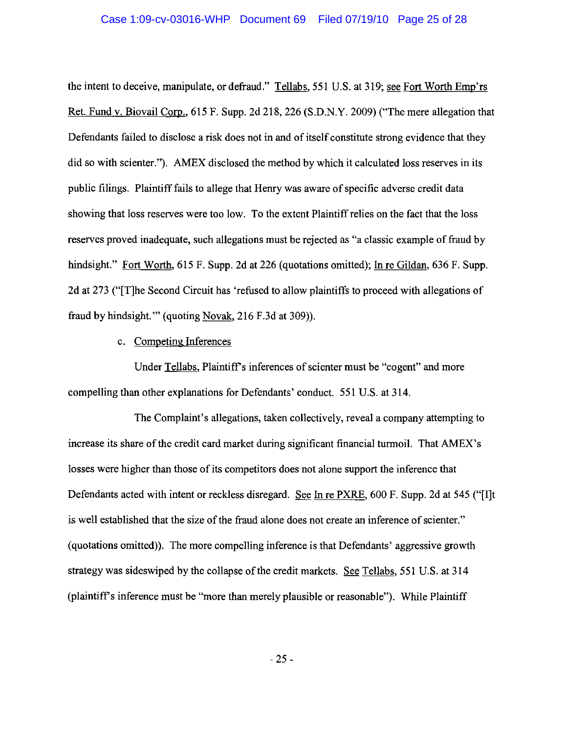### Case 1:09-cv-03016-WHP Document 69 Filed 07/19/10 Page 25 of 28

the intent to deceive, manipulate, or defraud." Tellabs, 551 U.S. at 319; see Fort Worth Emp'rs Ret. Fund v. Biovail Corp., 615 F. Supp. 2d 218, 226 (S.D.N.Y. 2009) ("The mere allegation that Defendants failed to disclose a risk does not in and of itself constitute strong evidence that they did so with scienter."). AMEX disclosed the method by which it calculated loss reserves in its public filings. Plaintiff fails to allege that Henry was aware of specific adverse credit data showing that loss reserves were too low. To the extent Plaintiff relies on the fact that the loss reserves proved inadequate, such allegations must be rejected as "a classic example of fraud by hindsight." Fort Worth, 615 F. Supp. 2d at 226 (quotations omitted); In re Gildan, 636 F. Supp. 2d at 273 ("[T]he Second Circuit has 'refused to allow plaintiffs to proceed with allegations of fraud by hindsight."" (quoting Novak, 216 F.3d at 309)).

## c. Competing Inferences

Under Tellabs, Plaintiff's inferences of scienter must be "cogent" and more compelling than other explanations for Defendants' conduct. 551 U.S. at 314.

The Complaint's allegations, taken collectively, reveal a company attempting to increase its share of the credit card market during significant financial turmoil. That AMEX's losses were higher than those of its competitors does not alone support the inference that Defendants acted with intent or reckless disregard. See In re PXRE, 600 F. Supp. 2d at 545 ("I]t is well established that the size of the fraud alone does not create an inference of scienter." (quotations omitted)). The more compelling inference is that Defendants' aggressive growth strategy was sideswiped by the collapse of the credit markets. See Tellabs, 551 U.S. at 314 (plaintiff's inference must be "more than merely plausible or reasonable"). While Plaintiff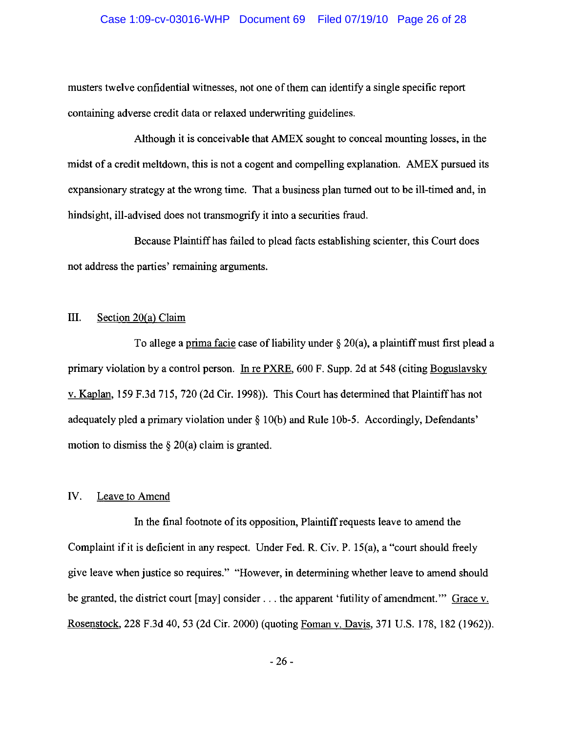### Case 1:09-cv-03016-WHP Document 69 Filed 07/19/10 Page 26 of 28

musters twelve confidential witnesses, not one of them can identify a single specific report containing adverse credit data or relaxed underwriting guidelines.

Although it is conceivable that AMEX sought to conceal mounting losses, in the midst of a credit meltdown, this is not a cogent and compelling explanation. AMEX pursued its expansionary strategy at the wrong time. That a business plan turned out to be ill-timed and, in hindsight, ill-advised does not transmogrify it into a securities fraud.

Because Plaintiff has failed to plead facts establishing scienter, this Court does not address the parties' remaining arguments.

#### Ш. Section 20(a) Claim

To allege a prima facie case of liability under  $\S 20(a)$ , a plaintiff must first plead a primary violation by a control person. In re PXRE, 600 F. Supp. 2d at 548 (citing Boguslavsky v. Kaplan, 159 F.3d 715, 720 (2d Cir. 1998)). This Court has determined that Plaintiff has not adequately pled a primary violation under § 10(b) and Rule 10b-5. Accordingly, Defendants' motion to dismiss the  $\S 20(a)$  claim is granted.

#### IV. Leave to Amend

In the final footnote of its opposition, Plaintiff requests leave to amend the Complaint if it is deficient in any respect. Under Fed. R. Civ. P. 15(a), a "court should freely give leave when justice so requires." "However, in determining whether leave to amend should be granted, the district court [may] consider . . . the apparent 'futility of amendment.'" Grace v. Rosenstock, 228 F.3d 40, 53 (2d Cir. 2000) (quoting Foman v. Davis, 371 U.S. 178, 182 (1962)).

 $-26-$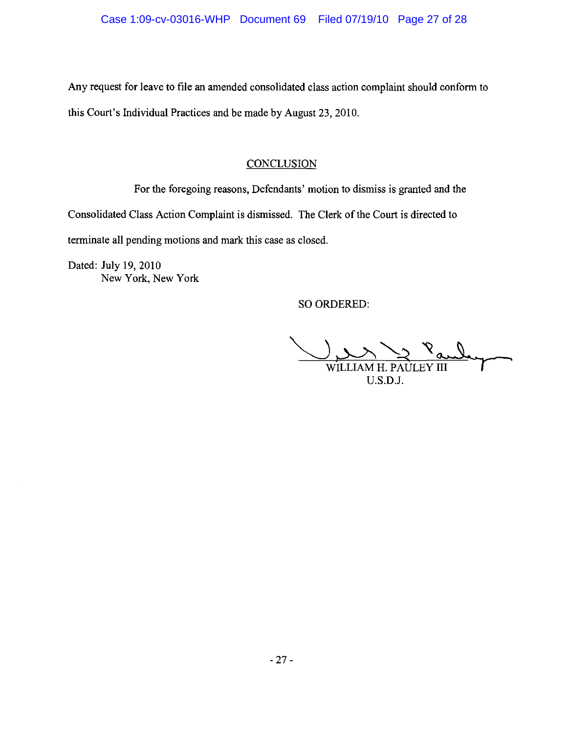Any request for leave to file an amended consolidated class action complaint should conform to this Court's Individual Practices and be made by August 23, 2010.

# **CONCLUSION**

For the foregoing reasons, Defendants' motion to dismiss is granted and the Consolidated Class Action Complaint is dismissed. The Clerk of the Court is directed to terminate all pending motions and mark this case as closed.

Dated: July 19, 2010 New York, New York

SO ORDERED:

WILLIAM H. PAULEY III U.S.D.J.